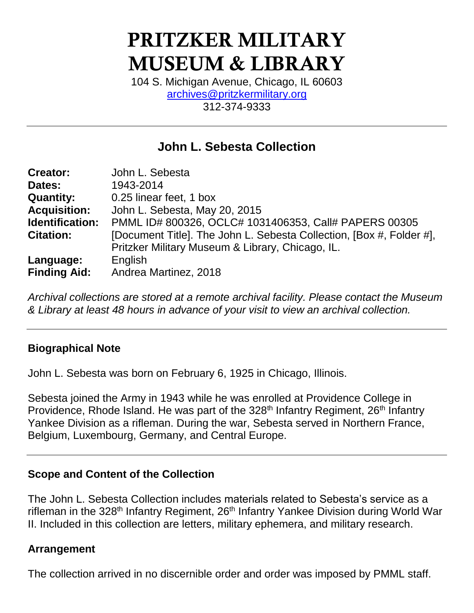# PRITZKER MILITARY MUSEUM & LIBRARY

104 S. Michigan Avenue, Chicago, IL 60603 [archives@pritzkermilitary.org](mailto:archives@pritzkermilitary.org) 312-374-9333

# **John L. Sebesta Collection**

| <b>Creator:</b>     | John L. Sebesta                                                      |
|---------------------|----------------------------------------------------------------------|
| Dates:              | 1943-2014                                                            |
| <b>Quantity:</b>    | 0.25 linear feet, 1 box                                              |
| <b>Acquisition:</b> | John L. Sebesta, May 20, 2015                                        |
| Identification:     | PMML ID# 800326, OCLC# 1031406353, Call# PAPERS 00305                |
| <b>Citation:</b>    | [Document Title]. The John L. Sebesta Collection, [Box #, Folder #], |
|                     | Pritzker Military Museum & Library, Chicago, IL.                     |
| Language:           | English                                                              |
| <b>Finding Aid:</b> | Andrea Martinez, 2018                                                |

*Archival collections are stored at a remote archival facility. Please contact the Museum & Library at least 48 hours in advance of your visit to view an archival collection.*

#### **Biographical Note**

John L. Sebesta was born on February 6, 1925 in Chicago, Illinois.

Sebesta joined the Army in 1943 while he was enrolled at Providence College in Providence, Rhode Island. He was part of the 328<sup>th</sup> Infantry Regiment, 26<sup>th</sup> Infantry Yankee Division as a rifleman. During the war, Sebesta served in Northern France, Belgium, Luxembourg, Germany, and Central Europe.

#### **Scope and Content of the Collection**

The John L. Sebesta Collection includes materials related to Sebesta's service as a rifleman in the 328<sup>th</sup> Infantry Regiment, 26<sup>th</sup> Infantry Yankee Division during World War II. Included in this collection are letters, military ephemera, and military research.

#### **Arrangement**

The collection arrived in no discernible order and order was imposed by PMML staff.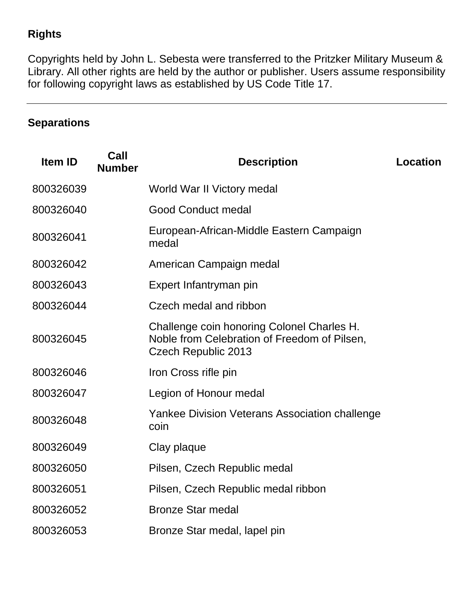## **Rights**

Copyrights held by John L. Sebesta were transferred to the Pritzker Military Museum & Library. All other rights are held by the author or publisher. Users assume responsibility for following copyright laws as established by US Code Title 17.

# **Separations**

| <b>Item ID</b> | Call<br><b>Number</b> | <b>Description</b>                                                                                                       | Location |
|----------------|-----------------------|--------------------------------------------------------------------------------------------------------------------------|----------|
| 800326039      |                       | World War II Victory medal                                                                                               |          |
| 800326040      |                       | <b>Good Conduct medal</b>                                                                                                |          |
| 800326041      |                       | European-African-Middle Eastern Campaign<br>medal                                                                        |          |
| 800326042      |                       | American Campaign medal                                                                                                  |          |
| 800326043      |                       | Expert Infantryman pin                                                                                                   |          |
| 800326044      |                       | Czech medal and ribbon                                                                                                   |          |
| 800326045      |                       | Challenge coin honoring Colonel Charles H.<br>Noble from Celebration of Freedom of Pilsen,<br><b>Czech Republic 2013</b> |          |
| 800326046      |                       | Iron Cross rifle pin                                                                                                     |          |
| 800326047      |                       | Legion of Honour medal                                                                                                   |          |
| 800326048      |                       | Yankee Division Veterans Association challenge<br>coin                                                                   |          |
| 800326049      |                       | Clay plaque                                                                                                              |          |
| 800326050      |                       | Pilsen, Czech Republic medal                                                                                             |          |
| 800326051      |                       | Pilsen, Czech Republic medal ribbon                                                                                      |          |
| 800326052      |                       | <b>Bronze Star medal</b>                                                                                                 |          |
| 800326053      |                       | Bronze Star medal, lapel pin                                                                                             |          |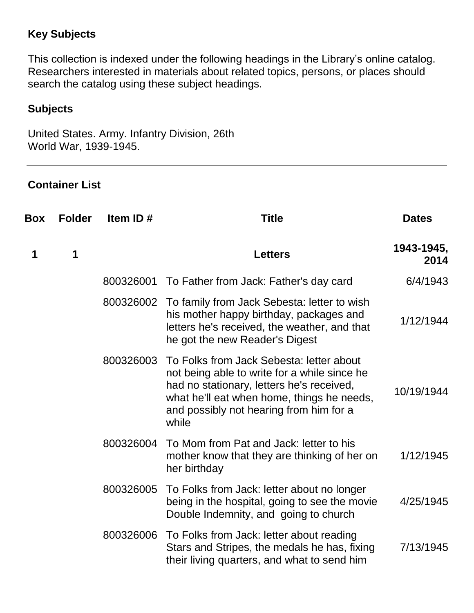## **Key Subjects**

This collection is indexed under the following headings in the Library's online catalog. Researchers interested in materials about related topics, persons, or places should search the catalog using these subject headings.

### **Subjects**

United States. Army. Infantry Division, 26th World War, 1939-1945.

## **Container List**

| Box | <b>Folder</b> | Item ID#  | <b>Title</b>                                                                                                                                                                                                                            | <b>Dates</b>       |
|-----|---------------|-----------|-----------------------------------------------------------------------------------------------------------------------------------------------------------------------------------------------------------------------------------------|--------------------|
| 1   | 1             |           | <b>Letters</b>                                                                                                                                                                                                                          | 1943-1945,<br>2014 |
|     |               |           | 800326001 To Father from Jack: Father's day card                                                                                                                                                                                        | 6/4/1943           |
|     |               |           | 800326002 To family from Jack Sebesta: letter to wish<br>his mother happy birthday, packages and<br>letters he's received, the weather, and that<br>he got the new Reader's Digest                                                      | 1/12/1944          |
|     |               | 800326003 | To Folks from Jack Sebesta: letter about<br>not being able to write for a while since he<br>had no stationary, letters he's received,<br>what he'll eat when home, things he needs,<br>and possibly not hearing from him for a<br>while | 10/19/1944         |
|     |               | 800326004 | To Mom from Pat and Jack: letter to his<br>mother know that they are thinking of her on<br>her birthday                                                                                                                                 | 1/12/1945          |
|     |               | 800326005 | To Folks from Jack: letter about no longer<br>being in the hospital, going to see the movie<br>Double Indemnity, and going to church                                                                                                    | 4/25/1945          |
|     |               | 800326006 | To Folks from Jack: letter about reading<br>Stars and Stripes, the medals he has, fixing<br>their living quarters, and what to send him                                                                                                 | 7/13/1945          |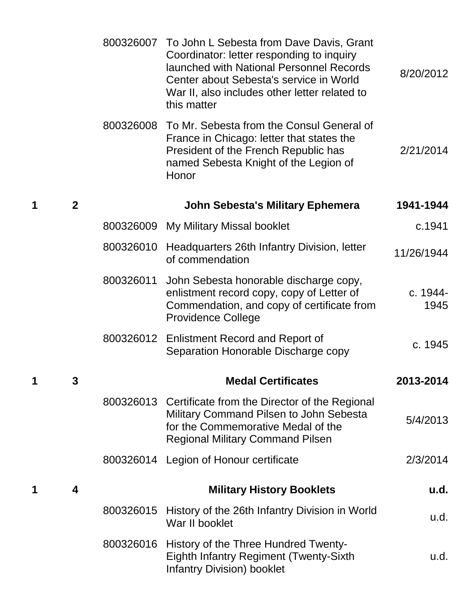|   |              |           | 800326007 To John L Sebesta from Dave Davis, Grant<br>Coordinator: letter responding to inquiry<br>launched with National Personnel Records<br>Center about Sebesta's service in World<br>War II, also includes other letter related to<br>this matter | 8/20/2012        |
|---|--------------|-----------|--------------------------------------------------------------------------------------------------------------------------------------------------------------------------------------------------------------------------------------------------------|------------------|
|   |              | 800326008 | To Mr. Sebesta from the Consul General of<br>France in Chicago: letter that states the<br>President of the French Republic has<br>named Sebesta Knight of the Legion of<br>Honor                                                                       | 2/21/2014        |
| 1 | $\mathbf{2}$ |           | <b>John Sebesta's Military Ephemera</b>                                                                                                                                                                                                                | 1941-1944        |
|   |              |           | 800326009 My Military Missal booklet                                                                                                                                                                                                                   | c.1941           |
|   |              |           | 800326010 Headquarters 26th Infantry Division, letter<br>of commendation                                                                                                                                                                               | 11/26/1944       |
|   |              | 800326011 | John Sebesta honorable discharge copy,<br>enlistment record copy, copy of Letter of<br>Commendation, and copy of certificate from<br><b>Providence College</b>                                                                                         | c. 1944-<br>1945 |
|   |              |           | 800326012 Enlistment Record and Report of<br>Separation Honorable Discharge copy                                                                                                                                                                       | c. 1945          |
| 1 |              |           | <b>Medal Certificates</b>                                                                                                                                                                                                                              | 2013-2014        |
|   |              |           | 800326013 Certificate from the Director of the Regional<br>Military Command Pilsen to John Sebesta<br>for the Commemorative Medal of the<br><b>Regional Military Command Pilsen</b>                                                                    | 5/4/2013         |
|   |              |           | 800326014 Legion of Honour certificate                                                                                                                                                                                                                 | 2/3/2014         |
| 1 | 4            |           | <b>Military History Booklets</b>                                                                                                                                                                                                                       | u.d.             |
|   |              | 800326015 | History of the 26th Infantry Division in World<br>War II booklet                                                                                                                                                                                       | u.d.             |
|   |              |           | 800326016 History of the Three Hundred Twenty-<br><b>Eighth Infantry Regiment (Twenty-Sixth)</b><br><b>Infantry Division) booklet</b>                                                                                                                  | u.d.             |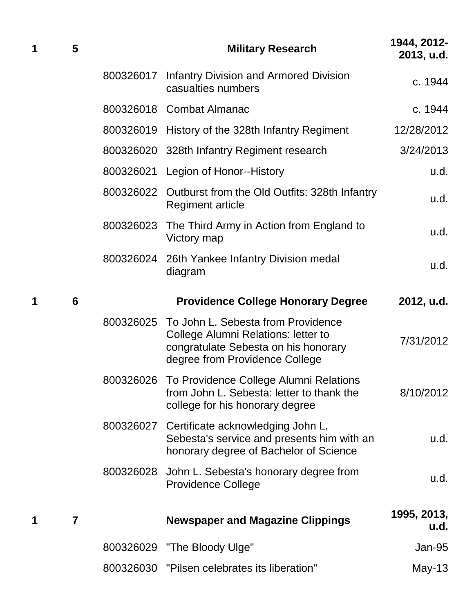| 1 | 5              |           | <b>Military Research</b>                                                                                                                                      | 1944, 2012-<br>2013, u.d. |
|---|----------------|-----------|---------------------------------------------------------------------------------------------------------------------------------------------------------------|---------------------------|
|   |                | 800326017 | <b>Infantry Division and Armored Division</b><br>casualties numbers                                                                                           | c. 1944                   |
|   |                |           | 800326018 Combat Almanac                                                                                                                                      | c. 1944                   |
|   |                |           | 800326019 History of the 328th Infantry Regiment                                                                                                              | 12/28/2012                |
|   |                |           | 800326020 328th Infantry Regiment research                                                                                                                    | 3/24/2013                 |
|   |                |           | 800326021 Legion of Honor--History                                                                                                                            | u.d.                      |
|   |                |           | 800326022 Outburst from the Old Outfits: 328th Infantry<br><b>Regiment article</b>                                                                            | u.d.                      |
|   |                | 800326023 | The Third Army in Action from England to<br>Victory map                                                                                                       | u.d.                      |
|   |                |           | 800326024 26th Yankee Infantry Division medal<br>diagram                                                                                                      | u.d.                      |
| 1 | 6              |           | <b>Providence College Honorary Degree</b>                                                                                                                     | 2012, u.d.                |
|   |                |           | 800326025 To John L. Sebesta from Providence<br>College Alumni Relations: letter to<br>congratulate Sebesta on his honorary<br>degree from Providence College | 7/31/2012                 |
|   |                | 800326026 | To Providence College Alumni Relations<br>from John L. Sebesta: letter to thank the<br>college for his honorary degree                                        | 8/10/2012                 |
|   |                | 800326027 | Certificate acknowledging John L.<br>Sebesta's service and presents him with an<br>honorary degree of Bachelor of Science                                     | u.d.                      |
|   |                | 800326028 | John L. Sebesta's honorary degree from<br><b>Providence College</b>                                                                                           | u.d.                      |
| 1 | $\overline{7}$ |           | <b>Newspaper and Magazine Clippings</b>                                                                                                                       | 1995, 2013,<br>u.d.       |
|   |                | 800326029 | "The Bloody Ulge"                                                                                                                                             | Jan-95                    |
|   |                |           | 800326030 "Pilsen celebrates its liberation"                                                                                                                  | May-13                    |